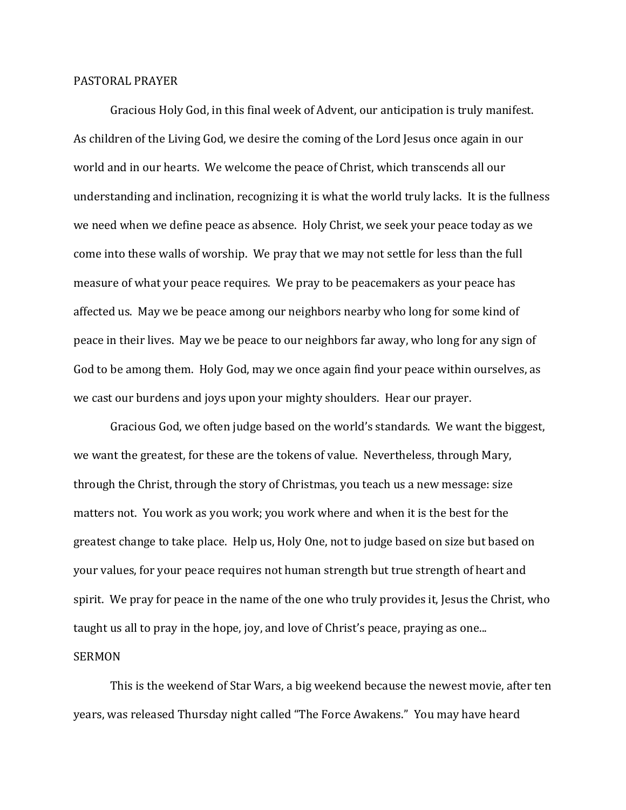## PASTORAL PRAYER

Gracious Holy God, in this final week of Advent, our anticipation is truly manifest. As children of the Living God, we desire the coming of the Lord Jesus once again in our world and in our hearts. We welcome the peace of Christ, which transcends all our understanding and inclination, recognizing it is what the world truly lacks. It is the fullness we need when we define peace as absence. Holy Christ, we seek your peace today as we come into these walls of worship. We pray that we may not settle for less than the full measure of what your peace requires. We pray to be peacemakers as your peace has affected us. May we be peace among our neighbors nearby who long for some kind of peace in their lives. May we be peace to our neighbors far away, who long for any sign of God to be among them. Holy God, may we once again find your peace within ourselves, as we cast our burdens and joys upon your mighty shoulders. Hear our prayer.

Gracious God, we often judge based on the world's standards. We want the biggest, we want the greatest, for these are the tokens of value. Nevertheless, through Mary, through the Christ, through the story of Christmas, you teach us a new message: size matters not. You work as you work; you work where and when it is the best for the greatest change to take place. Help us, Holy One, not to judge based on size but based on your values, for your peace requires not human strength but true strength of heart and spirit. We pray for peace in the name of the one who truly provides it, Jesus the Christ, who taught us all to pray in the hope, joy, and love of Christ's peace, praying as one...

## SERMON

This is the weekend of Star Wars, a big weekend because the newest movie, after ten years, was released Thursday night called "The Force Awakens." You may have heard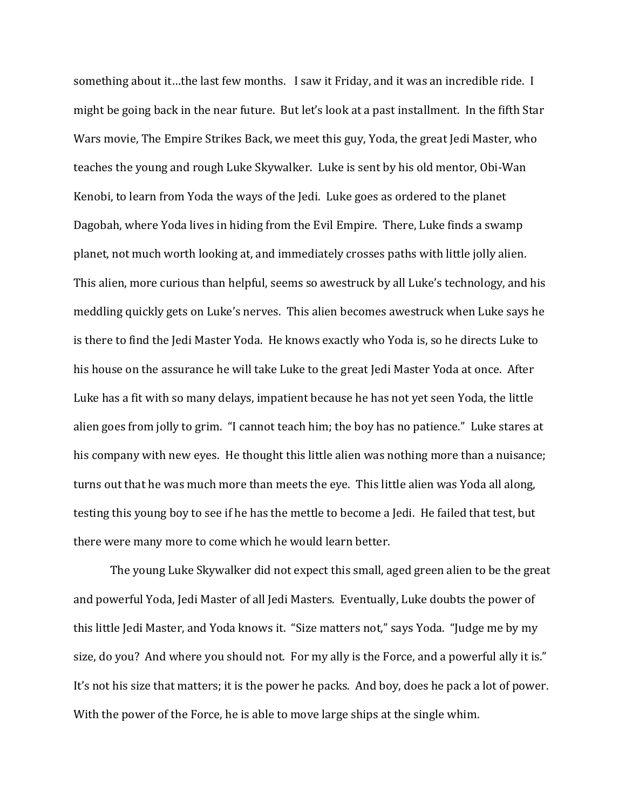something about it…the last few months. I saw it Friday, and it was an incredible ride. I might be going back in the near future. But let's look at a past installment. In the fifth Star Wars movie, The Empire Strikes Back, we meet this guy, Yoda, the great Jedi Master, who teaches the young and rough Luke Skywalker. Luke is sent by his old mentor, Obi-Wan Kenobi, to learn from Yoda the ways of the Jedi. Luke goes as ordered to the planet Dagobah, where Yoda lives in hiding from the Evil Empire. There, Luke finds a swamp planet, not much worth looking at, and immediately crosses paths with little jolly alien. This alien, more curious than helpful, seems so awestruck by all Luke's technology, and his meddling quickly gets on Luke's nerves. This alien becomes awestruck when Luke says he is there to find the Jedi Master Yoda. He knows exactly who Yoda is, so he directs Luke to his house on the assurance he will take Luke to the great Jedi Master Yoda at once. After Luke has a fit with so many delays, impatient because he has not yet seen Yoda, the little alien goes from jolly to grim. "I cannot teach him; the boy has no patience." Luke stares at his company with new eyes. He thought this little alien was nothing more than a nuisance; turns out that he was much more than meets the eye. This little alien was Yoda all along, testing this young boy to see if he has the mettle to become a Jedi. He failed that test, but there were many more to come which he would learn better.

The young Luke Skywalker did not expect this small, aged green alien to be the great and powerful Yoda, Jedi Master of all Jedi Masters. Eventually, Luke doubts the power of this little Jedi Master, and Yoda knows it. "Size matters not," says Yoda. "Judge me by my size, do you? And where you should not. For my ally is the Force, and a powerful ally it is." It's not his size that matters; it is the power he packs. And boy, does he pack a lot of power. With the power of the Force, he is able to move large ships at the single whim.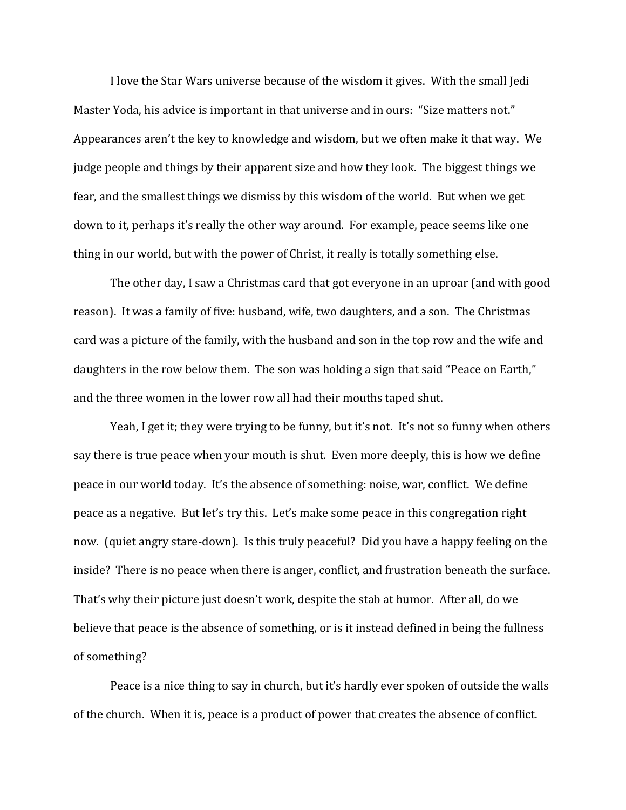I love the Star Wars universe because of the wisdom it gives. With the small Jedi Master Yoda, his advice is important in that universe and in ours: "Size matters not." Appearances aren't the key to knowledge and wisdom, but we often make it that way. We judge people and things by their apparent size and how they look. The biggest things we fear, and the smallest things we dismiss by this wisdom of the world. But when we get down to it, perhaps it's really the other way around. For example, peace seems like one thing in our world, but with the power of Christ, it really is totally something else.

The other day, I saw a Christmas card that got everyone in an uproar (and with good reason). It was a family of five: husband, wife, two daughters, and a son. The Christmas card was a picture of the family, with the husband and son in the top row and the wife and daughters in the row below them. The son was holding a sign that said "Peace on Earth," and the three women in the lower row all had their mouths taped shut.

Yeah, I get it; they were trying to be funny, but it's not. It's not so funny when others say there is true peace when your mouth is shut. Even more deeply, this is how we define peace in our world today. It's the absence of something: noise, war, conflict. We define peace as a negative. But let's try this. Let's make some peace in this congregation right now. (quiet angry stare-down). Is this truly peaceful? Did you have a happy feeling on the inside? There is no peace when there is anger, conflict, and frustration beneath the surface. That's why their picture just doesn't work, despite the stab at humor. After all, do we believe that peace is the absence of something, or is it instead defined in being the fullness of something?

Peace is a nice thing to say in church, but it's hardly ever spoken of outside the walls of the church. When it is, peace is a product of power that creates the absence of conflict.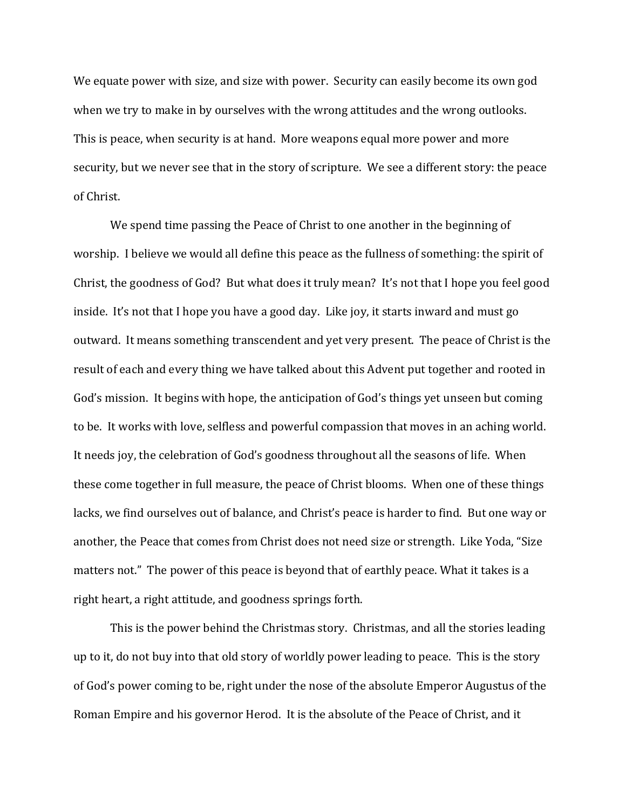We equate power with size, and size with power. Security can easily become its own god when we try to make in by ourselves with the wrong attitudes and the wrong outlooks. This is peace, when security is at hand. More weapons equal more power and more security, but we never see that in the story of scripture. We see a different story: the peace of Christ.

We spend time passing the Peace of Christ to one another in the beginning of worship. I believe we would all define this peace as the fullness of something: the spirit of Christ, the goodness of God? But what does it truly mean? It's not that I hope you feel good inside. It's not that I hope you have a good day. Like joy, it starts inward and must go outward. It means something transcendent and yet very present. The peace of Christ is the result of each and every thing we have talked about this Advent put together and rooted in God's mission. It begins with hope, the anticipation of God's things yet unseen but coming to be. It works with love, selfless and powerful compassion that moves in an aching world. It needs joy, the celebration of God's goodness throughout all the seasons of life. When these come together in full measure, the peace of Christ blooms. When one of these things lacks, we find ourselves out of balance, and Christ's peace is harder to find. But one way or another, the Peace that comes from Christ does not need size or strength. Like Yoda, "Size matters not." The power of this peace is beyond that of earthly peace. What it takes is a right heart, a right attitude, and goodness springs forth.

This is the power behind the Christmas story. Christmas, and all the stories leading up to it, do not buy into that old story of worldly power leading to peace. This is the story of God's power coming to be, right under the nose of the absolute Emperor Augustus of the Roman Empire and his governor Herod. It is the absolute of the Peace of Christ, and it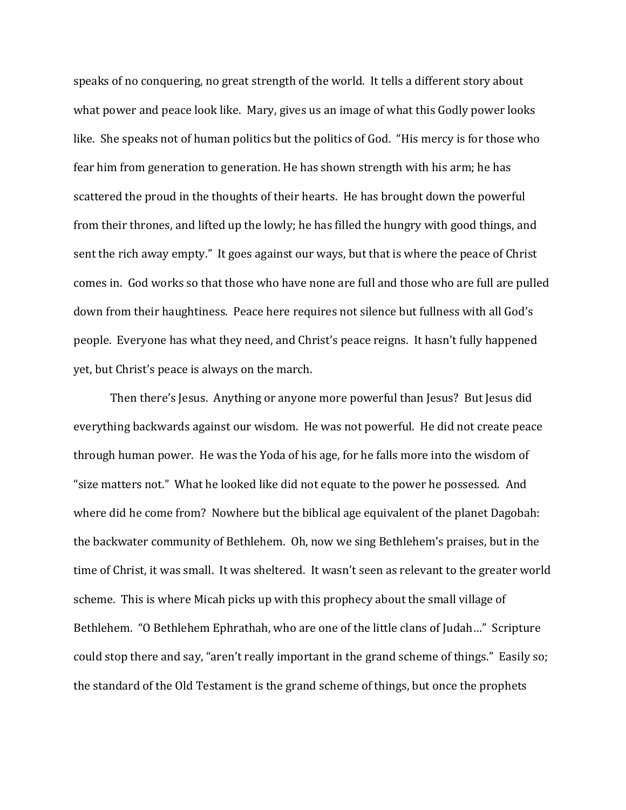speaks of no conquering, no great strength of the world. It tells a different story about what power and peace look like. Mary, gives us an image of what this Godly power looks like. She speaks not of human politics but the politics of God. "His mercy is for those who fear him from generation to generation. He has shown strength with his arm; he has scattered the proud in the thoughts of their hearts. He has brought down the powerful from their thrones, and lifted up the lowly; he has filled the hungry with good things, and sent the rich away empty." It goes against our ways, but that is where the peace of Christ comes in. God works so that those who have none are full and those who are full are pulled down from their haughtiness. Peace here requires not silence but fullness with all God's people. Everyone has what they need, and Christ's peace reigns. It hasn't fully happened yet, but Christ's peace is always on the march.

Then there's Jesus. Anything or anyone more powerful than Jesus? But Jesus did everything backwards against our wisdom. He was not powerful. He did not create peace through human power. He was the Yoda of his age, for he falls more into the wisdom of "size matters not." What he looked like did not equate to the power he possessed. And where did he come from? Nowhere but the biblical age equivalent of the planet Dagobah: the backwater community of Bethlehem. Oh, now we sing Bethlehem's praises, but in the time of Christ, it was small. It was sheltered. It wasn't seen as relevant to the greater world scheme. This is where Micah picks up with this prophecy about the small village of Bethlehem. "O Bethlehem Ephrathah, who are one of the little clans of Judah…" Scripture could stop there and say, "aren't really important in the grand scheme of things." Easily so; the standard of the Old Testament is the grand scheme of things, but once the prophets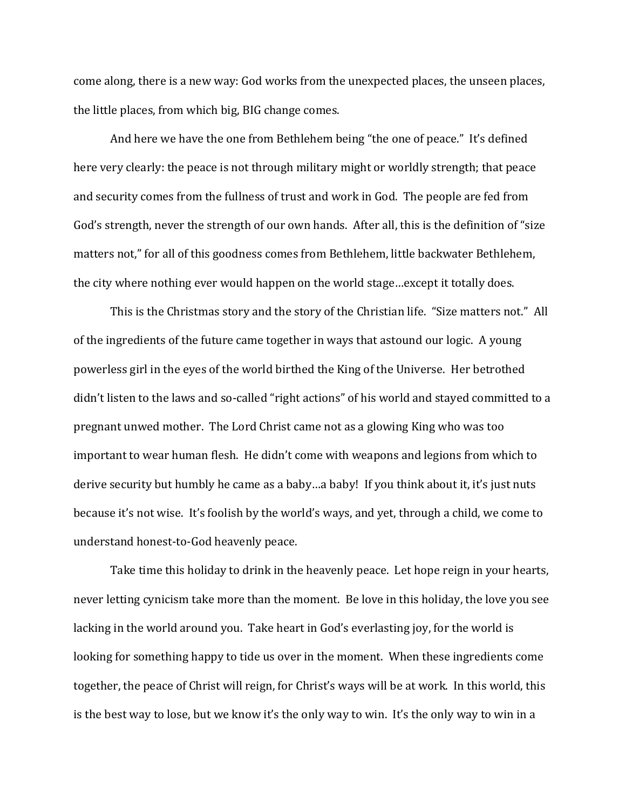come along, there is a new way: God works from the unexpected places, the unseen places, the little places, from which big, BIG change comes.

And here we have the one from Bethlehem being "the one of peace." It's defined here very clearly: the peace is not through military might or worldly strength; that peace and security comes from the fullness of trust and work in God. The people are fed from God's strength, never the strength of our own hands. After all, this is the definition of "size matters not," for all of this goodness comes from Bethlehem, little backwater Bethlehem, the city where nothing ever would happen on the world stage…except it totally does.

This is the Christmas story and the story of the Christian life. "Size matters not." All of the ingredients of the future came together in ways that astound our logic. A young powerless girl in the eyes of the world birthed the King of the Universe. Her betrothed didn't listen to the laws and so-called "right actions" of his world and stayed committed to a pregnant unwed mother. The Lord Christ came not as a glowing King who was too important to wear human flesh. He didn't come with weapons and legions from which to derive security but humbly he came as a baby…a baby! If you think about it, it's just nuts because it's not wise. It's foolish by the world's ways, and yet, through a child, we come to understand honest-to-God heavenly peace.

Take time this holiday to drink in the heavenly peace. Let hope reign in your hearts, never letting cynicism take more than the moment. Be love in this holiday, the love you see lacking in the world around you. Take heart in God's everlasting joy, for the world is looking for something happy to tide us over in the moment. When these ingredients come together, the peace of Christ will reign, for Christ's ways will be at work. In this world, this is the best way to lose, but we know it's the only way to win. It's the only way to win in a